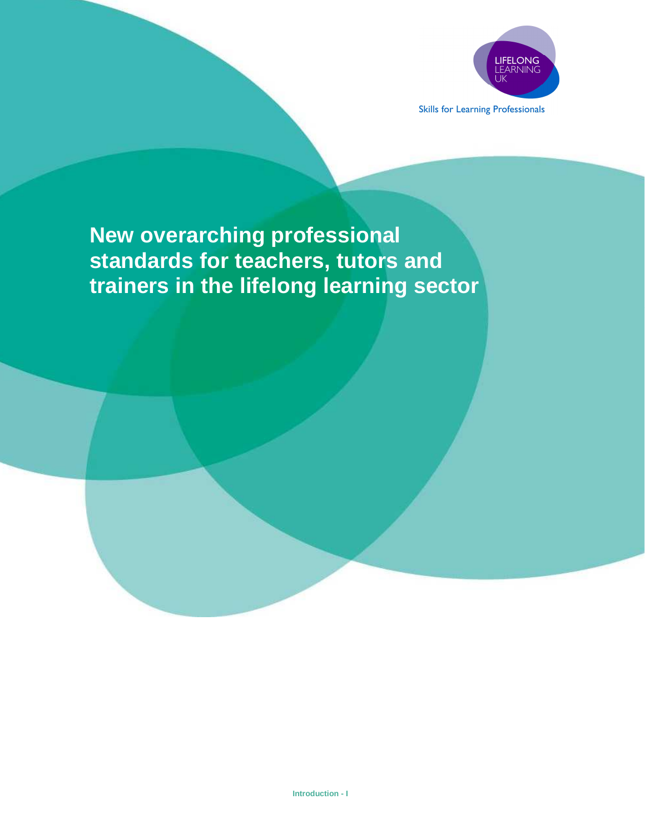

**Skills for Learning Professionals** 

# **New overarching professional standards for teachers, tutors and trainers in the lifelong learning sector**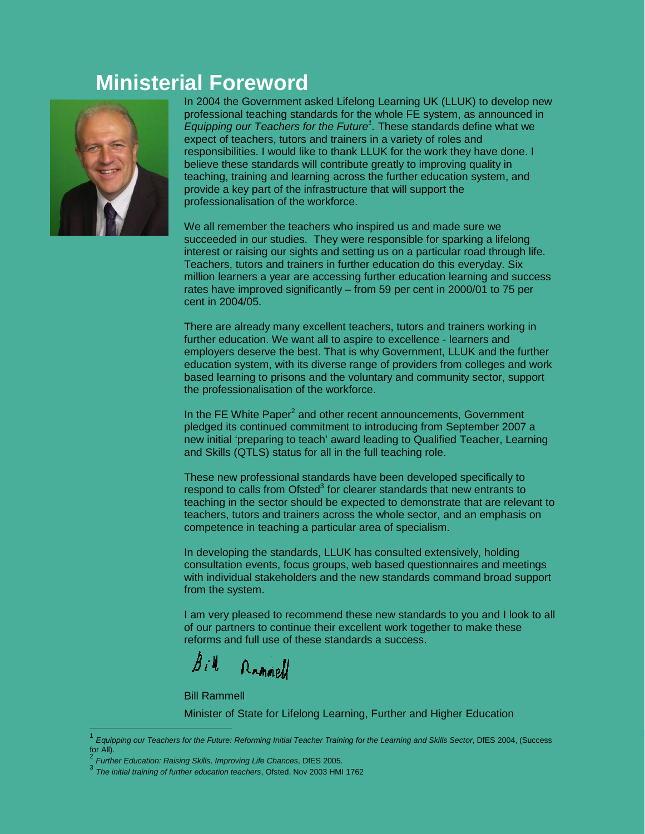## **Ministerial Foreword**



In 2004 the Government asked Lifelong Learning UK (LLUK) to develop new professional teaching standards for the whole FE system, as announced in Equipping our Teachers for the Future<sup>1</sup>. These standards define what we expect of teachers, tutors and trainers in a variety of roles and responsibilities. I would like to thank LLUK for the work they have done. I believe these standards will contribute greatly to improving quality in teaching, training and learning across the further education system, and provide a key part of the infrastructure that will support the professionalisation of the workforce.

We all remember the teachers who inspired us and made sure we succeeded in our studies. They were responsible for sparking a lifelong interest or raising our sights and setting us on a particular road through life. Teachers, tutors and trainers in further education do this everyday. Six million learners a year are accessing further education learning and success rates have improved significantly – from 59 per cent in 2000/01 to 75 per cent in 2004/05.

There are already many excellent teachers, tutors and trainers working in further education. We want all to aspire to excellence - learners and employers deserve the best. That is why Government, LLUK and the further education system, with its diverse range of providers from colleges and work based learning to prisons and the voluntary and community sector, support the professionalisation of the workforce.

In the FE White Paper<sup>2</sup> and other recent announcements, Government pledged its continued commitment to introducing from September 2007 a new initial 'preparing to teach' award leading to Qualified Teacher, Learning and Skills (QTLS) status for all in the full teaching role.

These new professional standards have been developed specifically to respond to calls from Ofsted<sup>3</sup> for clearer standards that new entrants to teaching in the sector should be expected to demonstrate that are relevant to teachers, tutors and trainers across the whole sector, and an emphasis on competence in teaching a particular area of specialism.

In developing the standards, LLUK has consulted extensively, holding consultation events, focus groups, web based questionnaires and meetings with individual stakeholders and the new standards command broad support from the system.

I am very pleased to recommend these new standards to you and I look to all of our partners to continue their excellent work together to make these reforms and full use of these standards a success.

 $\mathcal{B}$  i  $\mathcal{U}$ Rammel

Bill Rammell

 $\overline{a}$ 

Minister of State for Lifelong Learning, Further and Higher Education

<sup>1</sup> Equipping our Teachers for the Future: Reforming Initial Teacher Training for the Learning and Skills Sector, DfES 2004, (Success for All).

<sup>2</sup> Further Education: Raising Skills, Improving Life Chances, DfES 2005.

<sup>3</sup> The initial training of further education teachers, Ofsted, Nov 2003 HMI 1762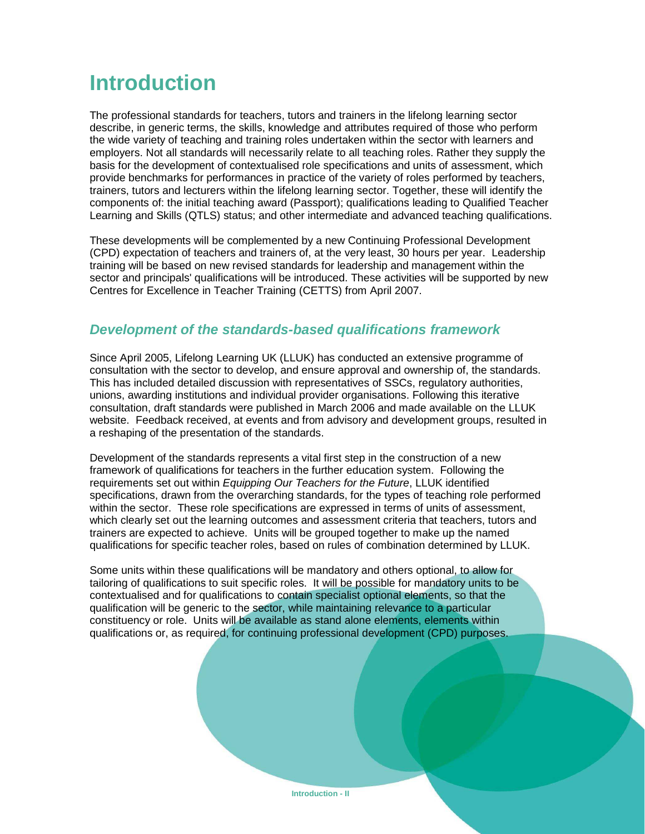## **Introduction**

The professional standards for teachers, tutors and trainers in the lifelong learning sector describe, in generic terms, the skills, knowledge and attributes required of those who perform the wide variety of teaching and training roles undertaken within the sector with learners and employers. Not all standards will necessarily relate to all teaching roles. Rather they supply the basis for the development of contextualised role specifications and units of assessment, which provide benchmarks for performances in practice of the variety of roles performed by teachers, trainers, tutors and lecturers within the lifelong learning sector. Together, these will identify the components of: the initial teaching award (Passport); qualifications leading to Qualified Teacher Learning and Skills (QTLS) status; and other intermediate and advanced teaching qualifications.

These developments will be complemented by a new Continuing Professional Development (CPD) expectation of teachers and trainers of, at the very least, 30 hours per year. Leadership training will be based on new revised standards for leadership and management within the sector and principals' qualifications will be introduced. These activities will be supported by new Centres for Excellence in Teacher Training (CETTS) from April 2007.

### **Development of the standards-based qualifications framework**

Since April 2005, Lifelong Learning UK (LLUK) has conducted an extensive programme of consultation with the sector to develop, and ensure approval and ownership of, the standards. This has included detailed discussion with representatives of SSCs, regulatory authorities, unions, awarding institutions and individual provider organisations. Following this iterative consultation, draft standards were published in March 2006 and made available on the LLUK website. Feedback received, at events and from advisory and development groups, resulted in a reshaping of the presentation of the standards.

Development of the standards represents a vital first step in the construction of a new framework of qualifications for teachers in the further education system. Following the requirements set out within Equipping Our Teachers for the Future, LLUK identified specifications, drawn from the overarching standards, for the types of teaching role performed within the sector. These role specifications are expressed in terms of units of assessment, which clearly set out the learning outcomes and assessment criteria that teachers, tutors and trainers are expected to achieve. Units will be grouped together to make up the named qualifications for specific teacher roles, based on rules of combination determined by LLUK.

Some units within these qualifications will be mandatory and others optional, to allow for tailoring of qualifications to suit specific roles. It will be possible for mandatory units to be contextualised and for qualifications to contain specialist optional elements, so that the qualification will be generic to the sector, while maintaining relevance to a particular constituency or role. Units will be available as stand alone elements, elements within qualifications or, as required, for continuing professional development (CPD) purposes.

**Introduction - II**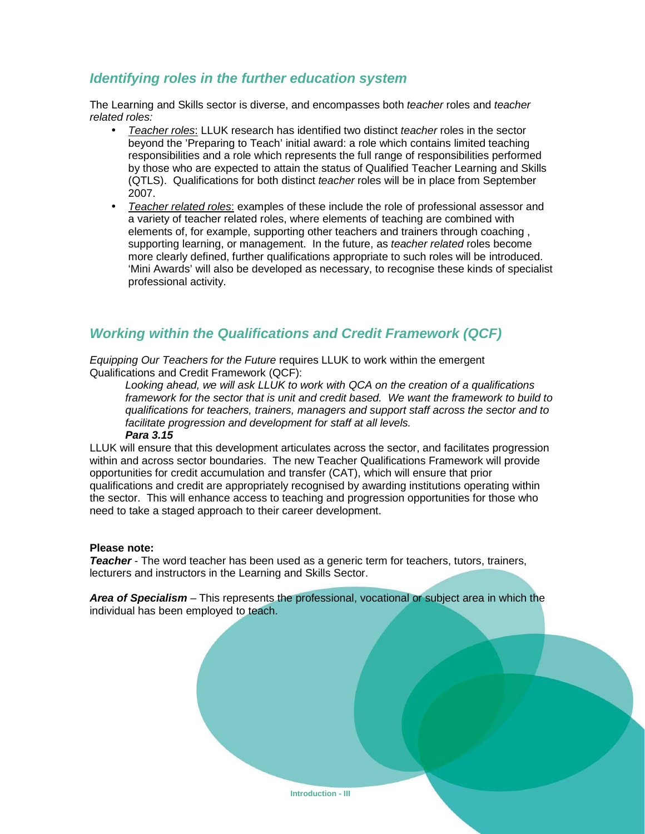### **Identifying roles in the further education system**

The Learning and Skills sector is diverse, and encompasses both teacher roles and teacher related roles:

- Teacher roles: LLUK research has identified two distinct teacher roles in the sector beyond the 'Preparing to Teach' initial award: a role which contains limited teaching responsibilities and a role which represents the full range of responsibilities performed by those who are expected to attain the status of Qualified Teacher Learning and Skills (QTLS). Qualifications for both distinct teacher roles will be in place from September 2007.
- Teacher related roles: examples of these include the role of professional assessor and a variety of teacher related roles, where elements of teaching are combined with elements of, for example, supporting other teachers and trainers through coaching , supporting learning, or management. In the future, as *teacher related* roles become more clearly defined, further qualifications appropriate to such roles will be introduced. 'Mini Awards' will also be developed as necessary, to recognise these kinds of specialist professional activity.

## **Working within the Qualifications and Credit Framework (QCF)**

Equipping Our Teachers for the Future requires LLUK to work within the emergent Qualifications and Credit Framework (QCF):

Looking ahead, we will ask LLUK to work with QCA on the creation of a qualifications framework for the sector that is unit and credit based. We want the framework to build to qualifications for teachers, trainers, managers and support staff across the sector and to facilitate progression and development for staff at all levels. **Para 3.15** 

LLUK will ensure that this development articulates across the sector, and facilitates progression within and across sector boundaries. The new Teacher Qualifications Framework will provide opportunities for credit accumulation and transfer (CAT), which will ensure that prior qualifications and credit are appropriately recognised by awarding institutions operating within the sector. This will enhance access to teaching and progression opportunities for those who need to take a staged approach to their career development.

#### **Please note:**

**Teacher** - The word teacher has been used as a generic term for teachers, tutors, trainers, lecturers and instructors in the Learning and Skills Sector.

**Area of Specialism** – This represents the professional, vocational or subject area in which the individual has been employed to teach.

**Introduction - III**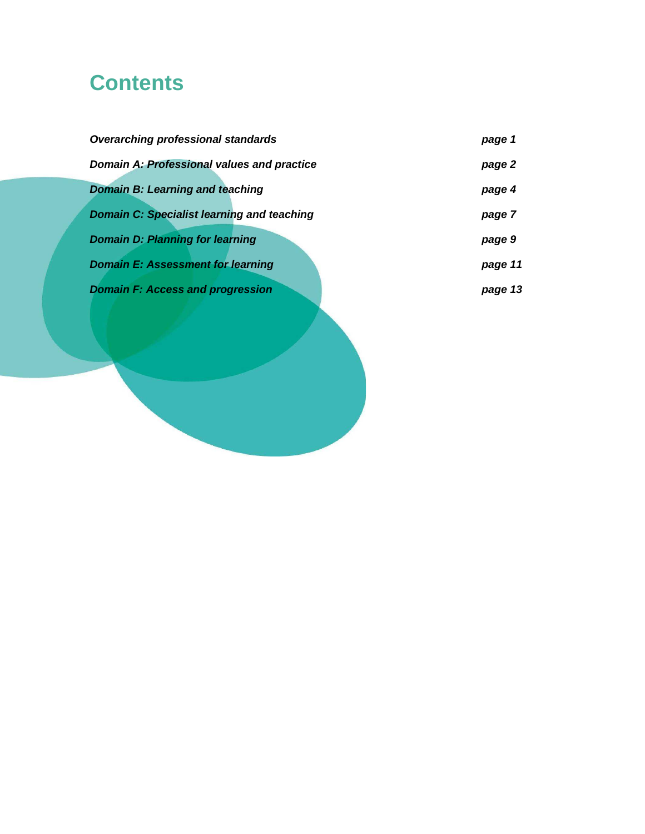# **Contents**

| <b>Overarching professional standards</b>         | page 1  |
|---------------------------------------------------|---------|
| <b>Domain A: Professional values and practice</b> | page 2  |
| <b>Domain B: Learning and teaching</b>            | page 4  |
| <b>Domain C: Specialist learning and teaching</b> | page 7  |
| <b>Domain D: Planning for learning</b>            | page 9  |
| <b>Domain E: Assessment for learning</b>          | page 11 |
| <b>Domain F: Access and progression</b>           | page 13 |
|                                                   |         |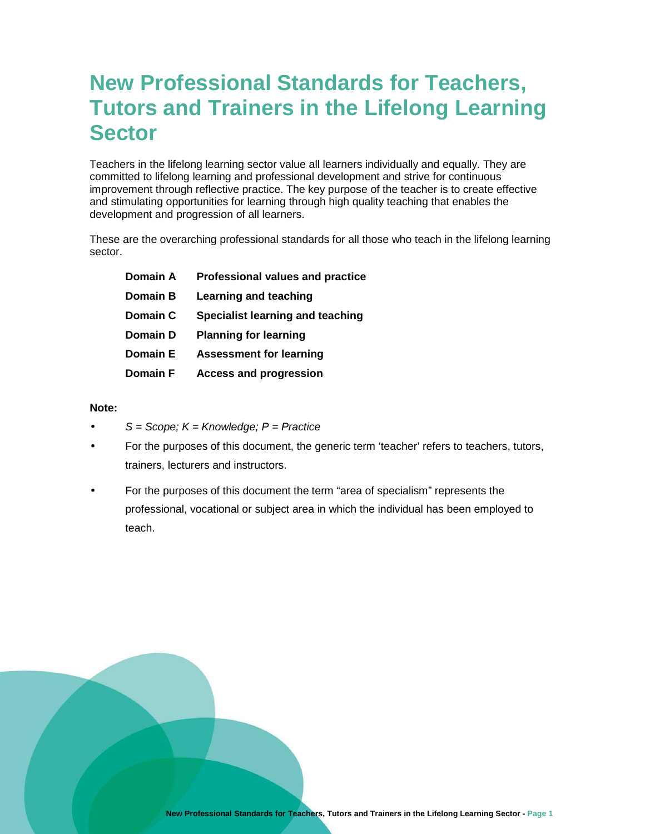## **New Professional Standards for Teachers, Tutors and Trainers in the Lifelong Learning Sector**

Teachers in the lifelong learning sector value all learners individually and equally. They are committed to lifelong learning and professional development and strive for continuous improvement through reflective practice. The key purpose of the teacher is to create effective and stimulating opportunities for learning through high quality teaching that enables the development and progression of all learners.

These are the overarching professional standards for all those who teach in the lifelong learning sector.

| Domain A        | Professional values and practice |
|-----------------|----------------------------------|
| Domain B        | Learning and teaching            |
| Domain C        | Specialist learning and teaching |
| Domain D        | <b>Planning for learning</b>     |
| Domain E        | <b>Assessment for learning</b>   |
| <b>Domain F</b> | <b>Access and progression</b>    |

#### **Note:**

- $S =$  Scope;  $K =$  Knowledge;  $P =$  Practice
- For the purposes of this document, the generic term 'teacher' refers to teachers, tutors, trainers, lecturers and instructors.
- For the purposes of this document the term "area of specialism" represents the professional, vocational or subject area in which the individual has been employed to teach.

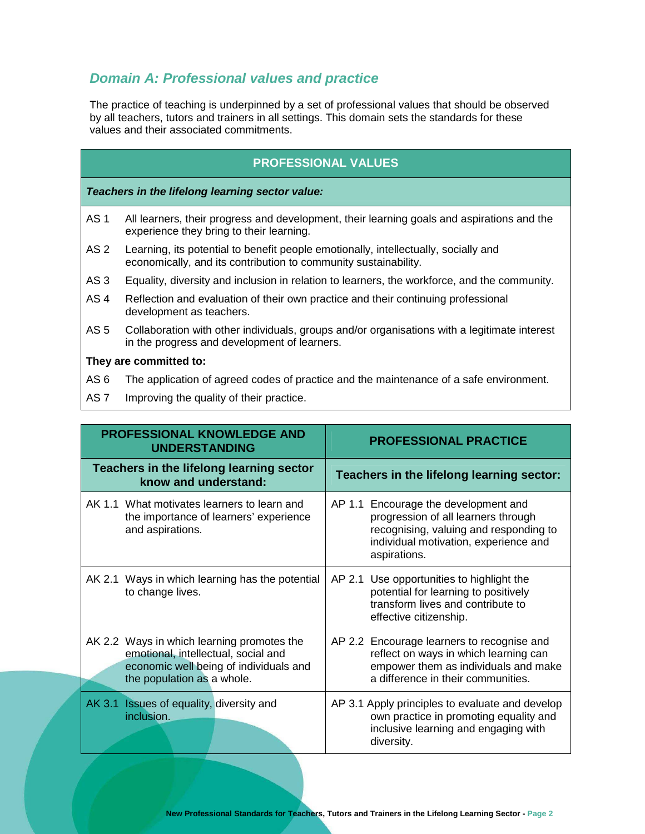## **Domain A: Professional values and practice**

The practice of teaching is underpinned by a set of professional values that should be observed by all teachers, tutors and trainers in all settings. This domain sets the standards for these values and their associated commitments.

### **PROFESSIONAL VALUES**

**Teachers in the lifelong learning sector value:** 

- AS 1 All learners, their progress and development, their learning goals and aspirations and the experience they bring to their learning.
- AS 2 Learning, its potential to benefit people emotionally, intellectually, socially and economically, and its contribution to community sustainability.
- AS 3 Equality, diversity and inclusion in relation to learners, the workforce, and the community.
- AS 4 Reflection and evaluation of their own practice and their continuing professional development as teachers.
- AS 5 Collaboration with other individuals, groups and/or organisations with a legitimate interest in the progress and development of learners.

- AS 6 The application of agreed codes of practice and the maintenance of a safe environment.
- AS 7 Improving the quality of their practice.

| <b>PROFESSIONAL KNOWLEDGE AND</b><br><b>UNDERSTANDING</b>                                                                                                 | <b>PROFESSIONAL PRACTICE</b>                                                                                                                                                   |  |
|-----------------------------------------------------------------------------------------------------------------------------------------------------------|--------------------------------------------------------------------------------------------------------------------------------------------------------------------------------|--|
| Teachers in the lifelong learning sector<br>know and understand:                                                                                          | Teachers in the lifelong learning sector:                                                                                                                                      |  |
| AK 1.1 What motivates learners to learn and<br>the importance of learners' experience<br>and aspirations.                                                 | AP 1.1 Encourage the development and<br>progression of all learners through<br>recognising, valuing and responding to<br>individual motivation, experience and<br>aspirations. |  |
| AK 2.1 Ways in which learning has the potential<br>to change lives.                                                                                       | AP 2.1 Use opportunities to highlight the<br>potential for learning to positively<br>transform lives and contribute to<br>effective citizenship.                               |  |
| AK 2.2 Ways in which learning promotes the<br>emotional, intellectual, social and<br>economic well being of individuals and<br>the population as a whole. | AP 2.2 Encourage learners to recognise and<br>reflect on ways in which learning can<br>empower them as individuals and make<br>a difference in their communities.              |  |
| AK 3.1<br><b>Issues of equality, diversity and</b><br>inclusion.                                                                                          | AP 3.1 Apply principles to evaluate and develop<br>own practice in promoting equality and<br>inclusive learning and engaging with<br>diversity.                                |  |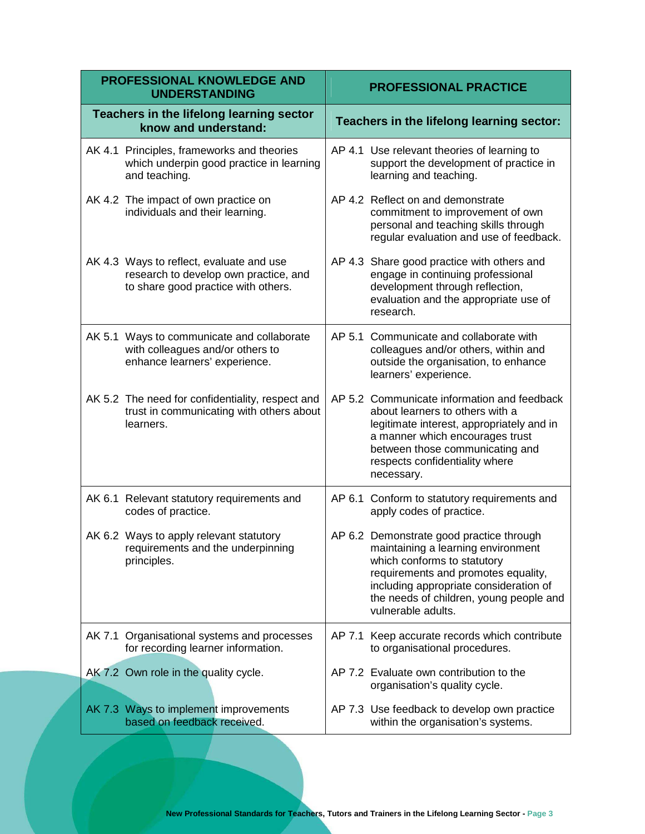| PROFESSIONAL KNOWLEDGE AND<br><b>UNDERSTANDING</b> |                                                                                                                          | <b>PROFESSIONAL PRACTICE</b> |                                                                                                                                                                                                                                                                 |
|----------------------------------------------------|--------------------------------------------------------------------------------------------------------------------------|------------------------------|-----------------------------------------------------------------------------------------------------------------------------------------------------------------------------------------------------------------------------------------------------------------|
|                                                    | Teachers in the lifelong learning sector<br>know and understand:                                                         |                              | Teachers in the lifelong learning sector:                                                                                                                                                                                                                       |
|                                                    | AK 4.1 Principles, frameworks and theories<br>which underpin good practice in learning<br>and teaching.                  |                              | AP 4.1 Use relevant theories of learning to<br>support the development of practice in<br>learning and teaching.                                                                                                                                                 |
|                                                    | AK 4.2 The impact of own practice on<br>individuals and their learning.                                                  |                              | AP 4.2 Reflect on and demonstrate<br>commitment to improvement of own<br>personal and teaching skills through<br>regular evaluation and use of feedback.                                                                                                        |
|                                                    | AK 4.3 Ways to reflect, evaluate and use<br>research to develop own practice, and<br>to share good practice with others. |                              | AP 4.3 Share good practice with others and<br>engage in continuing professional<br>development through reflection,<br>evaluation and the appropriate use of<br>research.                                                                                        |
|                                                    | AK 5.1 Ways to communicate and collaborate<br>with colleagues and/or others to<br>enhance learners' experience.          |                              | AP 5.1 Communicate and collaborate with<br>colleagues and/or others, within and<br>outside the organisation, to enhance<br>learners' experience.                                                                                                                |
|                                                    | AK 5.2 The need for confidentiality, respect and<br>trust in communicating with others about<br>learners.                |                              | AP 5.2 Communicate information and feedback<br>about learners to others with a<br>legitimate interest, appropriately and in<br>a manner which encourages trust<br>between those communicating and<br>respects confidentiality where<br>necessary.               |
|                                                    | AK 6.1 Relevant statutory requirements and<br>codes of practice.                                                         |                              | AP 6.1 Conform to statutory requirements and<br>apply codes of practice.                                                                                                                                                                                        |
|                                                    | AK 6.2 Ways to apply relevant statutory<br>requirements and the underpinning<br>principles.                              |                              | AP 6.2 Demonstrate good practice through<br>maintaining a learning environment<br>which conforms to statutory<br>requirements and promotes equality,<br>including appropriate consideration of<br>the needs of children, young people and<br>vulnerable adults. |
|                                                    | AK 7.1 Organisational systems and processes<br>for recording learner information.                                        |                              | AP 7.1 Keep accurate records which contribute<br>to organisational procedures.                                                                                                                                                                                  |
|                                                    | AK 7.2 Own role in the quality cycle.                                                                                    |                              | AP 7.2 Evaluate own contribution to the<br>organisation's quality cycle.                                                                                                                                                                                        |
|                                                    | AK 7.3 Ways to implement improvements<br>based on feedback received.                                                     |                              | AP 7.3 Use feedback to develop own practice<br>within the organisation's systems.                                                                                                                                                                               |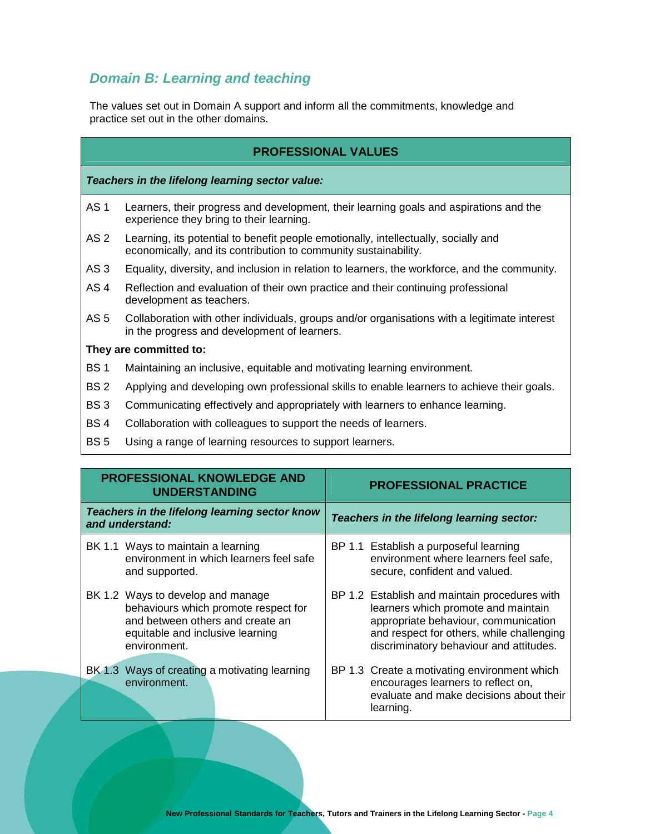## **Domain B: Learning and teaching**

The values set out in Domain A support and inform all the commitments, knowledge and practice set out in the other domains.

|  | <b>PROFESSIONAL VALUES</b> |  |
|--|----------------------------|--|
|  |                            |  |

**Teachers in the lifelong learning sector value:** 

- AS 1 Learners, their progress and development, their learning goals and aspirations and the experience they bring to their learning.
- AS 2 Learning, its potential to benefit people emotionally, intellectually, socially and economically, and its contribution to community sustainability.
- AS 3 Equality, diversity, and inclusion in relation to learners, the workforce, and the community.
- AS 4 Reflection and evaluation of their own practice and their continuing professional development as teachers.
- AS 5 Collaboration with other individuals, groups and/or organisations with a legitimate interest in the progress and development of learners.

- BS 1 Maintaining an inclusive, equitable and motivating learning environment.
- BS 2 Applying and developing own professional skills to enable learners to achieve their goals.
- BS 3 Communicating effectively and appropriately with learners to enhance learning.
- BS 4 Collaboration with colleagues to support the needs of learners.
- BS 5 Using a range of learning resources to support learners.

| PROFESSIONAL KNOWLEDGE AND<br><b>UNDERSTANDING</b>                                                                                                                | <b>PROFESSIONAL PRACTICE</b>                                                                                                                                                                                         |
|-------------------------------------------------------------------------------------------------------------------------------------------------------------------|----------------------------------------------------------------------------------------------------------------------------------------------------------------------------------------------------------------------|
| Teachers in the lifelong learning sector know<br>and understand:                                                                                                  | Teachers in the lifelong learning sector:                                                                                                                                                                            |
| BK 1.1 Ways to maintain a learning<br>environment in which learners feel safe<br>and supported.                                                                   | BP 1.1 Establish a purposeful learning<br>environment where learners feel safe,<br>secure, confident and valued.                                                                                                     |
| BK 1.2 Ways to develop and manage<br>behaviours which promote respect for<br>and between others and create an<br>equitable and inclusive learning<br>environment. | BP 1.2 Establish and maintain procedures with<br>learners which promote and maintain<br>appropriate behaviour, communication<br>and respect for others, while challenging<br>discriminatory behaviour and attitudes. |
| BK 1.3 Ways of creating a motivating learning<br>environment.                                                                                                     | BP 1.3 Create a motivating environment which<br>encourages learners to reflect on,<br>evaluate and make decisions about their<br>learning.                                                                           |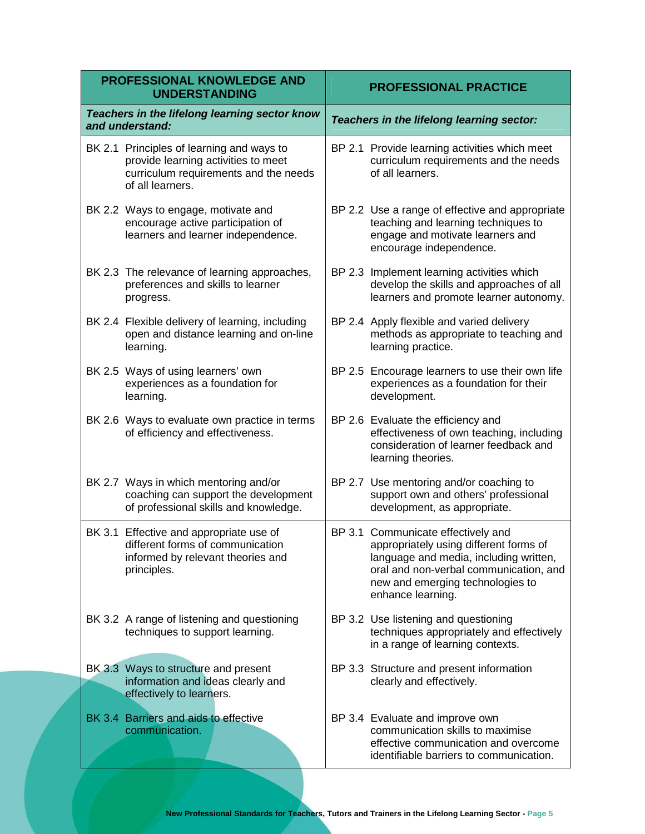| <b>PROFESSIONAL KNOWLEDGE AND</b><br><b>UNDERSTANDING</b>                                                                                     | <b>PROFESSIONAL PRACTICE</b>                                                                                                                                                                                              |  |
|-----------------------------------------------------------------------------------------------------------------------------------------------|---------------------------------------------------------------------------------------------------------------------------------------------------------------------------------------------------------------------------|--|
| Teachers in the lifelong learning sector know<br>and understand:                                                                              | Teachers in the lifelong learning sector:                                                                                                                                                                                 |  |
| BK 2.1 Principles of learning and ways to<br>provide learning activities to meet<br>curriculum requirements and the needs<br>of all learners. | BP 2.1 Provide learning activities which meet<br>curriculum requirements and the needs<br>of all learners.                                                                                                                |  |
| BK 2.2 Ways to engage, motivate and<br>encourage active participation of<br>learners and learner independence.                                | BP 2.2 Use a range of effective and appropriate<br>teaching and learning techniques to<br>engage and motivate learners and<br>encourage independence.                                                                     |  |
| BK 2.3 The relevance of learning approaches,<br>preferences and skills to learner<br>progress.                                                | BP 2.3 Implement learning activities which<br>develop the skills and approaches of all<br>learners and promote learner autonomy.                                                                                          |  |
| BK 2.4 Flexible delivery of learning, including<br>open and distance learning and on-line<br>learning.                                        | BP 2.4 Apply flexible and varied delivery<br>methods as appropriate to teaching and<br>learning practice.                                                                                                                 |  |
| BK 2.5 Ways of using learners' own<br>experiences as a foundation for<br>learning.                                                            | BP 2.5 Encourage learners to use their own life<br>experiences as a foundation for their<br>development.                                                                                                                  |  |
| BK 2.6 Ways to evaluate own practice in terms<br>of efficiency and effectiveness.                                                             | BP 2.6 Evaluate the efficiency and<br>effectiveness of own teaching, including<br>consideration of learner feedback and<br>learning theories.                                                                             |  |
| BK 2.7 Ways in which mentoring and/or<br>coaching can support the development<br>of professional skills and knowledge.                        | BP 2.7 Use mentoring and/or coaching to<br>support own and others' professional<br>development, as appropriate.                                                                                                           |  |
| BK 3.1 Effective and appropriate use of<br>different forms of communication<br>informed by relevant theories and<br>principles.               | BP 3.1 Communicate effectively and<br>appropriately using different forms of<br>language and media, including written,<br>oral and non-verbal communication, and<br>new and emerging technologies to<br>enhance learning. |  |
| BK 3.2 A range of listening and questioning<br>techniques to support learning.                                                                | BP 3.2 Use listening and questioning<br>techniques appropriately and effectively<br>in a range of learning contexts.                                                                                                      |  |
| BK 3.3 Ways to structure and present<br>information and ideas clearly and<br>effectively to learners.                                         | BP 3.3 Structure and present information<br>clearly and effectively.                                                                                                                                                      |  |
| BK 3.4 Barriers and aids to effective<br>communication.                                                                                       | BP 3.4 Evaluate and improve own<br>communication skills to maximise<br>effective communication and overcome<br>identifiable barriers to communication.                                                                    |  |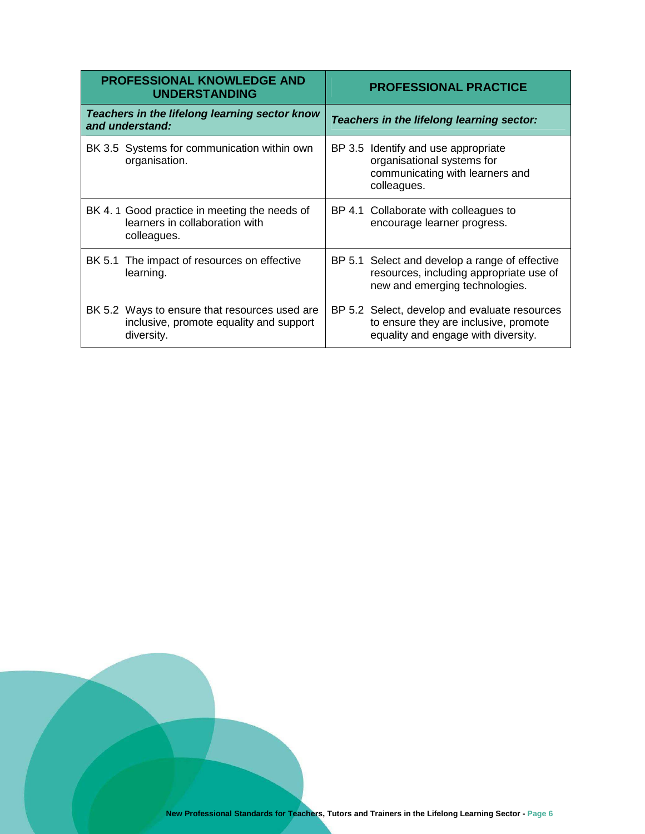| <b>PROFESSIONAL KNOWLEDGE AND</b><br><b>UNDERSTANDING</b>                                              | <b>PROFESSIONAL PRACTICE</b>              |                                                                                                                               |
|--------------------------------------------------------------------------------------------------------|-------------------------------------------|-------------------------------------------------------------------------------------------------------------------------------|
| Teachers in the lifelong learning sector know<br>and understand:                                       | Teachers in the lifelong learning sector: |                                                                                                                               |
| BK 3.5 Systems for communication within own<br>organisation.                                           |                                           | BP 3.5 Identify and use appropriate<br>organisational systems for<br>communicating with learners and<br>colleagues.           |
| BK 4.1 Good practice in meeting the needs of<br>learners in collaboration with<br>colleagues.          | BP 4.1                                    | Collaborate with colleagues to<br>encourage learner progress.                                                                 |
| BK 5.1 The impact of resources on effective<br>learning.                                               |                                           | BP 5.1 Select and develop a range of effective<br>resources, including appropriate use of<br>new and emerging technologies.   |
| BK 5.2 Ways to ensure that resources used are<br>inclusive, promote equality and support<br>diversity. |                                           | BP 5.2 Select, develop and evaluate resources<br>to ensure they are inclusive, promote<br>equality and engage with diversity. |

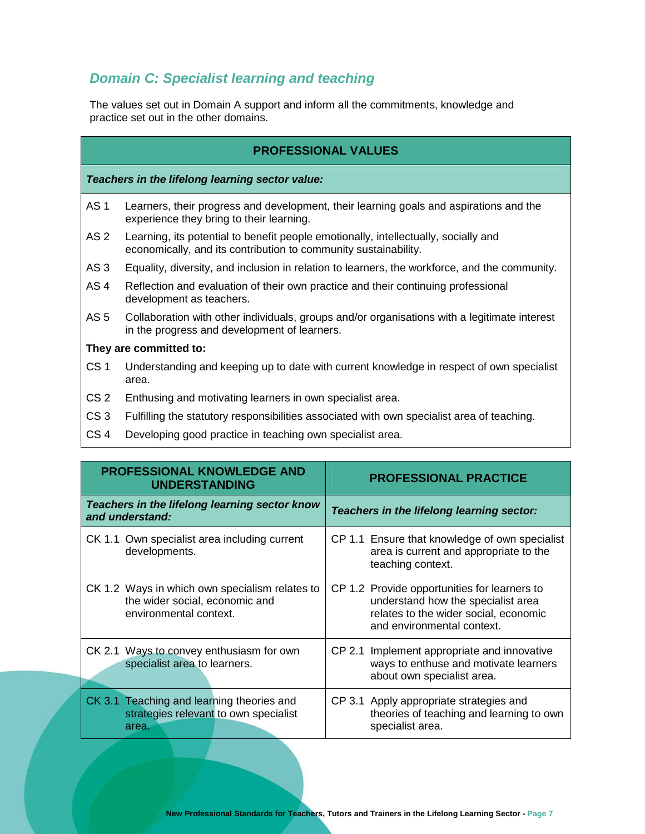## **Domain C: Specialist learning and teaching**

The values set out in Domain A support and inform all the commitments, knowledge and practice set out in the other domains.

| <b>PROFESSIONAL VALUES</b> |
|----------------------------|
|----------------------------|

**Teachers in the lifelong learning sector value:** 

- AS 1 Learners, their progress and development, their learning goals and aspirations and the experience they bring to their learning.
- AS 2 Learning, its potential to benefit people emotionally, intellectually, socially and economically, and its contribution to community sustainability.
- AS 3 Equality, diversity, and inclusion in relation to learners, the workforce, and the community.
- AS 4 Reflection and evaluation of their own practice and their continuing professional development as teachers.
- AS 5 Collaboration with other individuals, groups and/or organisations with a legitimate interest in the progress and development of learners.

- CS 1 Understanding and keeping up to date with current knowledge in respect of own specialist area.
- CS 2 Enthusing and motivating learners in own specialist area.
- CS 3 Fulfilling the statutory responsibilities associated with own specialist area of teaching.
- CS 4 Developing good practice in teaching own specialist area.

| <b>PROFESSIONAL KNOWLEDGE AND</b><br><b>UNDERSTANDING</b>                                                  | <b>PROFESSIONAL PRACTICE</b>                                                                                                                              |
|------------------------------------------------------------------------------------------------------------|-----------------------------------------------------------------------------------------------------------------------------------------------------------|
| Teachers in the lifelong learning sector know<br>and understand:                                           | Teachers in the lifelong learning sector:                                                                                                                 |
| CK 1.1 Own specialist area including current<br>developments.                                              | CP 1.1 Ensure that knowledge of own specialist<br>area is current and appropriate to the<br>teaching context.                                             |
| CK 1.2 Ways in which own specialism relates to<br>the wider social, economic and<br>environmental context. | CP 1.2 Provide opportunities for learners to<br>understand how the specialist area<br>relates to the wider social, economic<br>and environmental context. |
| CK 2.1 Ways to convey enthusiasm for own<br>specialist area to learners.                                   | CP 2.1 Implement appropriate and innovative<br>ways to enthuse and motivate learners<br>about own specialist area.                                        |
| CK 3.1 Teaching and learning theories and<br>strategies relevant to own specialist<br>area.                | CP 3.1 Apply appropriate strategies and<br>theories of teaching and learning to own<br>specialist area.                                                   |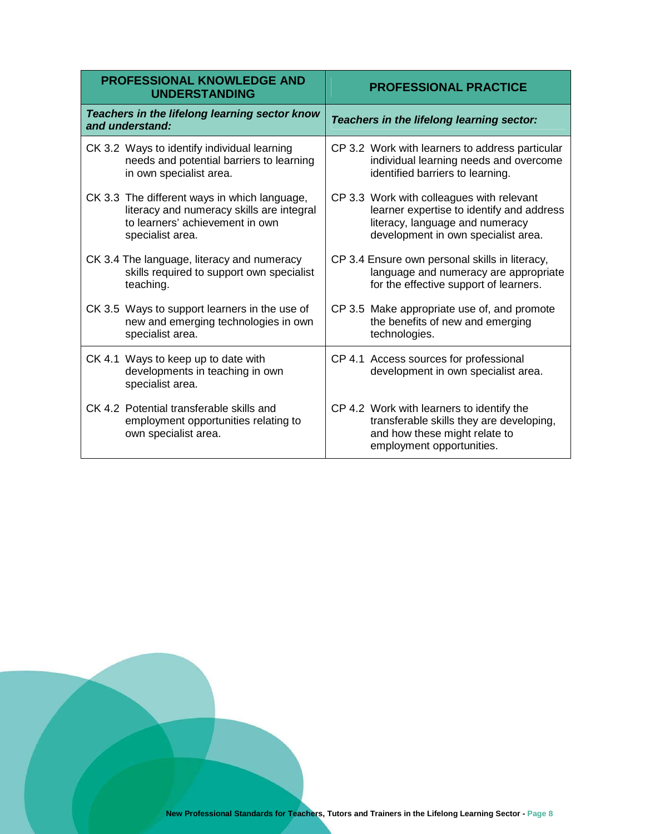| <b>PROFESSIONAL KNOWLEDGE AND</b><br><b>UNDERSTANDING</b>                                                | <b>PROFESSIONAL PRACTICE</b>                                                                                                                        |
|----------------------------------------------------------------------------------------------------------|-----------------------------------------------------------------------------------------------------------------------------------------------------|
| Teachers in the lifelong learning sector know<br>and understand:                                         | Teachers in the lifelong learning sector:                                                                                                           |
| CK 3.2 Ways to identify individual learning                                                              | CP 3.2 Work with learners to address particular                                                                                                     |
| needs and potential barriers to learning                                                                 | individual learning needs and overcome                                                                                                              |
| in own specialist area.                                                                                  | identified barriers to learning.                                                                                                                    |
| CK 3.3 The different ways in which language,                                                             | CP 3.3 Work with colleagues with relevant                                                                                                           |
| literacy and numeracy skills are integral                                                                | learner expertise to identify and address                                                                                                           |
| to learners' achievement in own                                                                          | literacy, language and numeracy                                                                                                                     |
| specialist area.                                                                                         | development in own specialist area.                                                                                                                 |
| CK 3.4 The language, literacy and numeracy                                                               | CP 3.4 Ensure own personal skills in literacy,                                                                                                      |
| skills required to support own specialist                                                                | language and numeracy are appropriate                                                                                                               |
| teaching.                                                                                                | for the effective support of learners.                                                                                                              |
| CK 3.5 Ways to support learners in the use of                                                            | CP 3.5 Make appropriate use of, and promote                                                                                                         |
| new and emerging technologies in own                                                                     | the benefits of new and emerging                                                                                                                    |
| specialist area.                                                                                         | technologies.                                                                                                                                       |
| CK 4.1 Ways to keep up to date with<br>developments in teaching in own<br>specialist area.               | CP 4.1 Access sources for professional<br>development in own specialist area.                                                                       |
| CK 4.2 Potential transferable skills and<br>employment opportunities relating to<br>own specialist area. | CP 4.2 Work with learners to identify the<br>transferable skills they are developing,<br>and how these might relate to<br>employment opportunities. |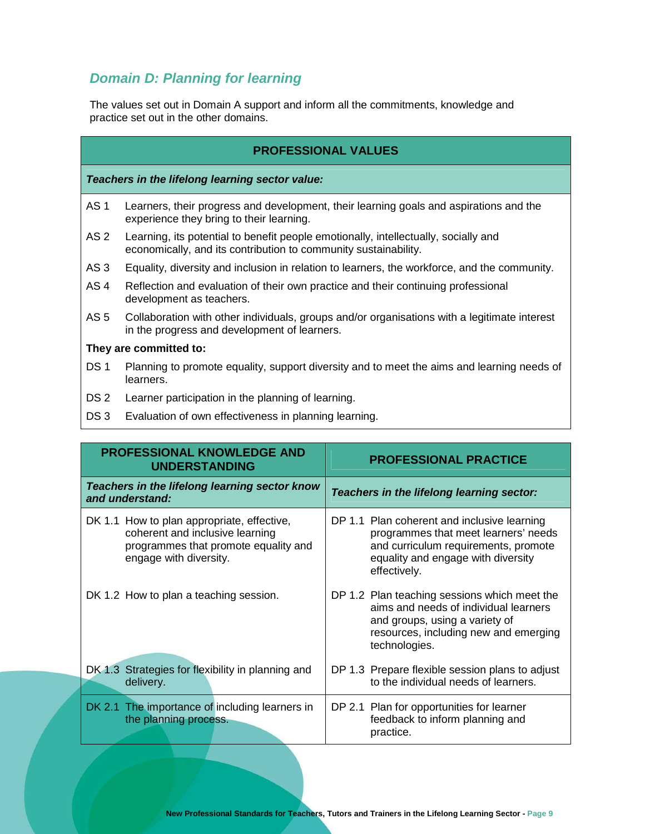## **Domain D: Planning for learning**

The values set out in Domain A support and inform all the commitments, knowledge and practice set out in the other domains.

|                 | <b>PROFESSIONAL VALUES</b>                                                                                                                             |
|-----------------|--------------------------------------------------------------------------------------------------------------------------------------------------------|
|                 | Teachers in the lifelong learning sector value:                                                                                                        |
| AS <sub>1</sub> | Learners, their progress and development, their learning goals and aspirations and the<br>experience they bring to their learning.                     |
| AS <sub>2</sub> | Learning, its potential to benefit people emotionally, intellectually, socially and<br>economically, and its contribution to community sustainability. |
| AS <sub>3</sub> | Equality, diversity and inclusion in relation to learners, the workforce, and the community.                                                           |
| AS <sub>4</sub> | Reflection and evaluation of their own practice and their continuing professional<br>development as teachers.                                          |
| AS <sub>5</sub> | Collaboration with other individuals, groups and/or organisations with a legitimate interest<br>in the progress and development of learners.           |
|                 | They are committed to:                                                                                                                                 |
| DS <sub>1</sub> | Planning to promote equality, support diversity and to meet the aims and learning needs of<br>learners.                                                |
| DS 2            | Learner participation in the planning of learning.                                                                                                     |
| DS <sub>3</sub> | Evaluation of own effectiveness in planning learning.                                                                                                  |

| <b>PROFESSIONAL KNOWLEDGE AND</b><br><b>UNDERSTANDING</b>                                                                                       | <b>PROFESSIONAL PRACTICE</b>                                                                                                                                                      |  |
|-------------------------------------------------------------------------------------------------------------------------------------------------|-----------------------------------------------------------------------------------------------------------------------------------------------------------------------------------|--|
| Teachers in the lifelong learning sector know<br>and understand:                                                                                | Teachers in the lifelong learning sector:                                                                                                                                         |  |
| DK 1.1 How to plan appropriate, effective,<br>coherent and inclusive learning<br>programmes that promote equality and<br>engage with diversity. | DP 1.1 Plan coherent and inclusive learning<br>programmes that meet learners' needs<br>and curriculum requirements, promote<br>equality and engage with diversity<br>effectively. |  |
| DK 1.2 How to plan a teaching session.                                                                                                          | DP 1.2 Plan teaching sessions which meet the<br>aims and needs of individual learners<br>and groups, using a variety of<br>resources, including new and emerging<br>technologies. |  |
| DK 1.3 Strategies for flexibility in planning and<br>delivery.                                                                                  | DP 1.3 Prepare flexible session plans to adjust<br>to the individual needs of learners.                                                                                           |  |
| DK 2.1 The importance of including learners in<br>the planning process.                                                                         | DP 2.1 Plan for opportunities for learner<br>feedback to inform planning and<br>practice.                                                                                         |  |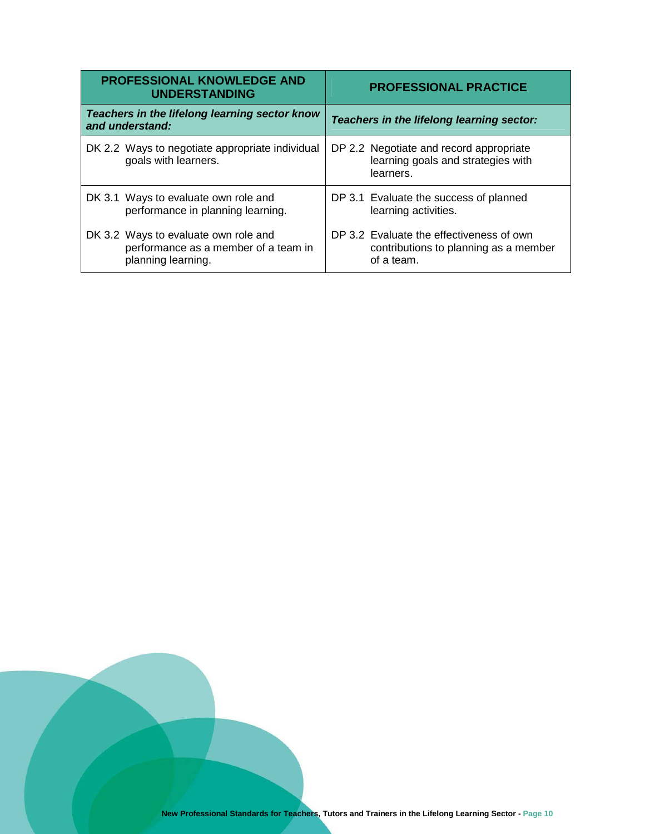| <b>PROFESSIONAL KNOWLEDGE AND</b><br><b>UNDERSTANDING</b>                                          | <b>PROFESSIONAL PRACTICE</b>                                                                    |  |  |
|----------------------------------------------------------------------------------------------------|-------------------------------------------------------------------------------------------------|--|--|
| Teachers in the lifelong learning sector know<br>and understand:                                   | Teachers in the lifelong learning sector:                                                       |  |  |
| DK 2.2 Ways to negotiate appropriate individual<br>goals with learners.                            | DP 2.2 Negotiate and record appropriate<br>learning goals and strategies with<br>learners.      |  |  |
| DK 3.1 Ways to evaluate own role and<br>performance in planning learning.                          | DP 3.1 Evaluate the success of planned<br>learning activities.                                  |  |  |
| DK 3.2 Ways to evaluate own role and<br>performance as a member of a team in<br>planning learning. | DP 3.2 Evaluate the effectiveness of own<br>contributions to planning as a member<br>of a team. |  |  |

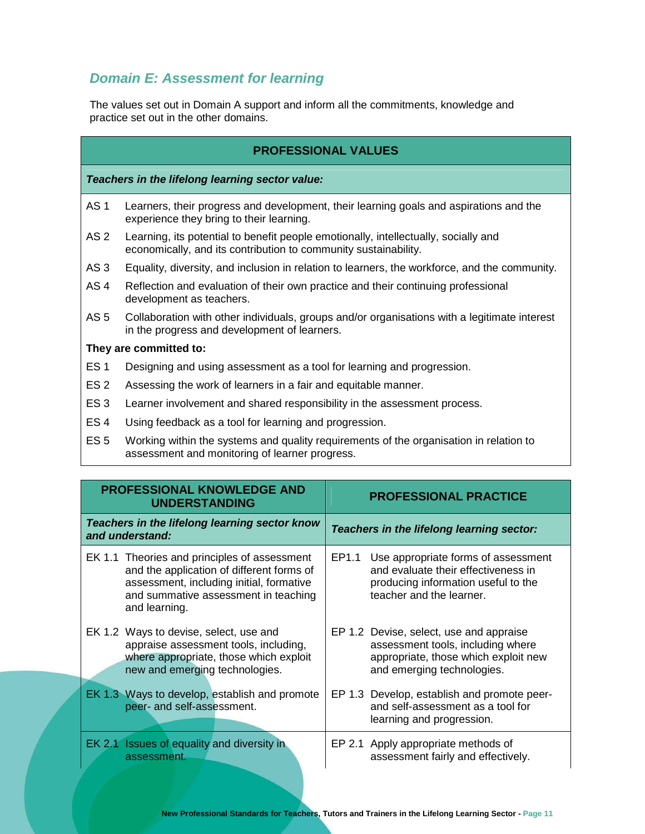## **Domain E: Assessment for learning**

The values set out in Domain A support and inform all the commitments, knowledge and practice set out in the other domains.

#### **PROFESSIONAL VALUES**

**Teachers in the lifelong learning sector value:** 

- AS 1 Learners, their progress and development, their learning goals and aspirations and the experience they bring to their learning.
- AS 2 Learning, its potential to benefit people emotionally, intellectually, socially and economically, and its contribution to community sustainability.
- AS 3 Equality, diversity, and inclusion in relation to learners, the workforce, and the community.
- AS 4 Reflection and evaluation of their own practice and their continuing professional development as teachers.
- AS 5 Collaboration with other individuals, groups and/or organisations with a legitimate interest in the progress and development of learners.

- ES 1 Designing and using assessment as a tool for learning and progression.
- ES 2 Assessing the work of learners in a fair and equitable manner.
- ES 3 Learner involvement and shared responsibility in the assessment process.
- ES 4 Using feedback as a tool for learning and progression.
- ES 5 Working within the systems and quality requirements of the organisation in relation to assessment and monitoring of learner progress.

| <b>PROFESSIONAL KNOWLEDGE AND</b><br><b>UNDERSTANDING</b><br>Teachers in the lifelong learning sector know<br>and understand: |  | <b>PROFESSIONAL PRACTICE</b><br>Teachers in the lifelong learning sector:                                                                                   |  |                                                                                                                                                    |
|-------------------------------------------------------------------------------------------------------------------------------|--|-------------------------------------------------------------------------------------------------------------------------------------------------------------|--|----------------------------------------------------------------------------------------------------------------------------------------------------|
|                                                                                                                               |  |                                                                                                                                                             |  |                                                                                                                                                    |
|                                                                                                                               |  | EK 1.2 Ways to devise, select, use and<br>appraise assessment tools, including,<br>where appropriate, those which exploit<br>new and emerging technologies. |  | EP 1.2 Devise, select, use and appraise<br>assessment tools, including where<br>appropriate, those which exploit new<br>and emerging technologies. |
|                                                                                                                               |  | EK 1.3 Ways to develop, establish and promote<br>peer- and self-assessment.                                                                                 |  | EP 1.3 Develop, establish and promote peer-<br>and self-assessment as a tool for<br>learning and progression.                                      |
|                                                                                                                               |  | EK 2.1 Issues of equality and diversity in<br>assessment.                                                                                                   |  | EP 2.1 Apply appropriate methods of<br>assessment fairly and effectively.                                                                          |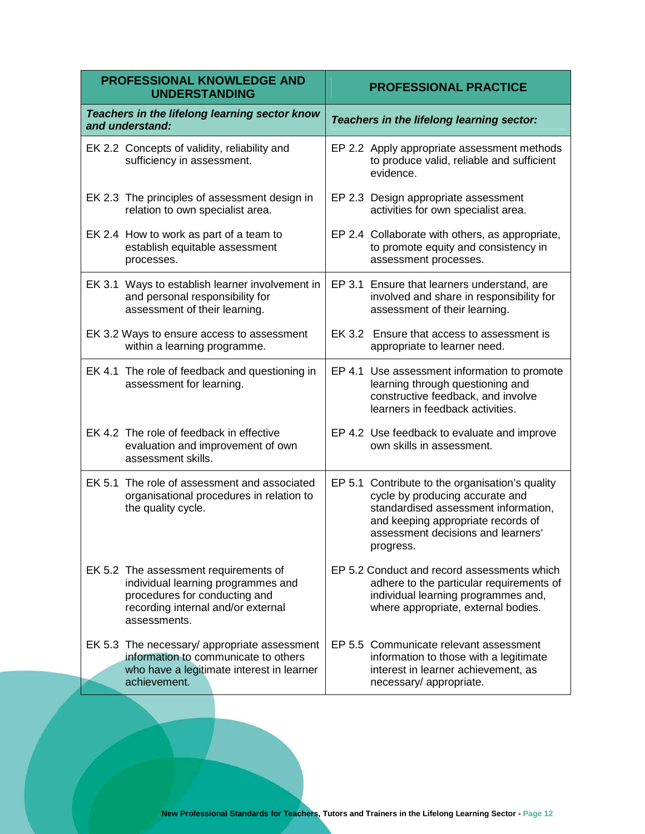| PROFESSIONAL KNOWLEDGE AND<br><b>UNDERSTANDING</b>                                                                                                                 | <b>PROFESSIONAL PRACTICE</b>                                                                                                                                                                                        |  |
|--------------------------------------------------------------------------------------------------------------------------------------------------------------------|---------------------------------------------------------------------------------------------------------------------------------------------------------------------------------------------------------------------|--|
| Teachers in the lifelong learning sector know<br>and understand:                                                                                                   | Teachers in the lifelong learning sector:                                                                                                                                                                           |  |
| EK 2.2 Concepts of validity, reliability and<br>sufficiency in assessment.                                                                                         | EP 2.2 Apply appropriate assessment methods<br>to produce valid, reliable and sufficient<br>evidence.                                                                                                               |  |
| EK 2.3 The principles of assessment design in<br>relation to own specialist area.                                                                                  | EP 2.3 Design appropriate assessment<br>activities for own specialist area.                                                                                                                                         |  |
| EK 2.4 How to work as part of a team to<br>establish equitable assessment<br>processes.                                                                            | EP 2.4 Collaborate with others, as appropriate,<br>to promote equity and consistency in<br>assessment processes.                                                                                                    |  |
| EK 3.1 Ways to establish learner involvement in<br>and personal responsibility for<br>assessment of their learning.                                                | EP 3.1 Ensure that learners understand, are<br>involved and share in responsibility for<br>assessment of their learning.                                                                                            |  |
| EK 3.2 Ways to ensure access to assessment<br>within a learning programme.                                                                                         | EK 3.2 Ensure that access to assessment is<br>appropriate to learner need.                                                                                                                                          |  |
| EK 4.1 The role of feedback and questioning in<br>assessment for learning.                                                                                         | EP 4.1 Use assessment information to promote<br>learning through questioning and<br>constructive feedback, and involve<br>learners in feedback activities.                                                          |  |
| EK 4.2 The role of feedback in effective<br>evaluation and improvement of own<br>assessment skills.                                                                | EP 4.2 Use feedback to evaluate and improve<br>own skills in assessment.                                                                                                                                            |  |
| EK 5.1 The role of assessment and associated<br>organisational procedures in relation to<br>the quality cycle.                                                     | EP 5.1 Contribute to the organisation's quality<br>cycle by producing accurate and<br>standardised assessment information,<br>and keeping appropriate records of<br>assessment decisions and learners'<br>progress. |  |
| EK 5.2 The assessment requirements of<br>individual learning programmes and<br>procedures for conducting and<br>recording internal and/or external<br>assessments. | EP 5.2 Conduct and record assessments which<br>adhere to the particular requirements of<br>individual learning programmes and,<br>where appropriate, external bodies.                                               |  |
| EK 5.3 The necessary/ appropriate assessment<br>information to communicate to others<br>who have a legitimate interest in learner<br>achievement.                  | EP 5.5 Communicate relevant assessment<br>information to those with a legitimate<br>interest in learner achievement, as<br>necessary/appropriate.                                                                   |  |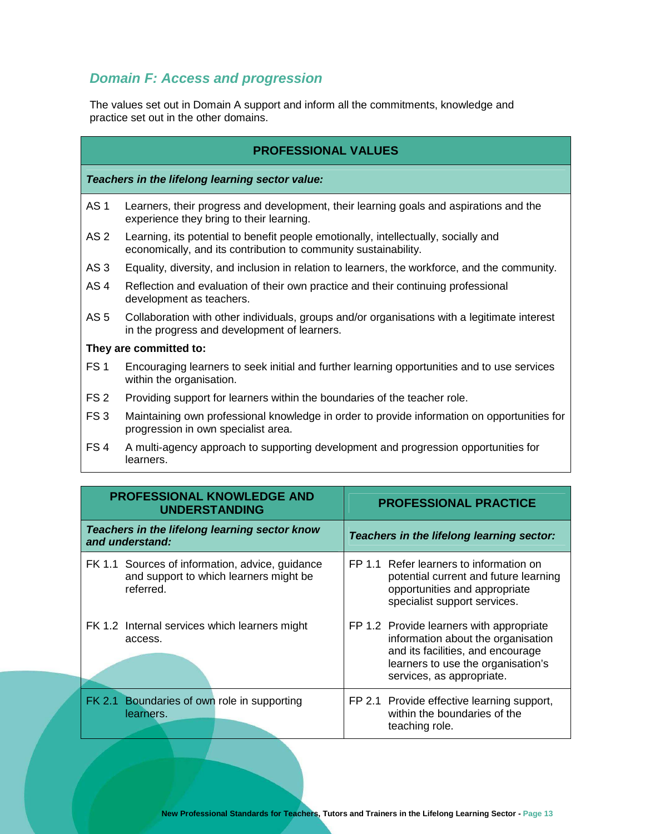## **Domain F: Access and progression**

The values set out in Domain A support and inform all the commitments, knowledge and practice set out in the other domains.

| <b>PROFESSIONAL VALUES</b> |
|----------------------------|
|----------------------------|

**Teachers in the lifelong learning sector value:** 

- AS 1 Learners, their progress and development, their learning goals and aspirations and the experience they bring to their learning.
- AS 2 Learning, its potential to benefit people emotionally, intellectually, socially and economically, and its contribution to community sustainability.
- AS 3 Equality, diversity, and inclusion in relation to learners, the workforce, and the community.
- AS 4 Reflection and evaluation of their own practice and their continuing professional development as teachers.
- AS 5 Collaboration with other individuals, groups and/or organisations with a legitimate interest in the progress and development of learners.

- FS 1 Encouraging learners to seek initial and further learning opportunities and to use services within the organisation.
- FS 2 Providing support for learners within the boundaries of the teacher role.
- FS 3 Maintaining own professional knowledge in order to provide information on opportunities for progression in own specialist area.
- FS 4 A multi-agency approach to supporting development and progression opportunities for learners.

| <b>PROFESSIONAL KNOWLEDGE AND</b><br><b>UNDERSTANDING</b>                                              | <b>PROFESSIONAL PRACTICE</b> |                                                                                                                                                                                        |
|--------------------------------------------------------------------------------------------------------|------------------------------|----------------------------------------------------------------------------------------------------------------------------------------------------------------------------------------|
| Teachers in the lifelong learning sector know<br>and understand:                                       |                              | Teachers in the lifelong learning sector:                                                                                                                                              |
| FK 1.1 Sources of information, advice, guidance<br>and support to which learners might be<br>referred. |                              | FP 1.1 Refer learners to information on<br>potential current and future learning<br>opportunities and appropriate<br>specialist support services.                                      |
| FK 1.2 Internal services which learners might<br>access.                                               |                              | FP 1.2 Provide learners with appropriate<br>information about the organisation<br>and its facilities, and encourage<br>learners to use the organisation's<br>services, as appropriate. |
| FK 2.1 Boundaries of own role in supporting<br>learners.                                               |                              | FP 2.1 Provide effective learning support,<br>within the boundaries of the<br>teaching role.                                                                                           |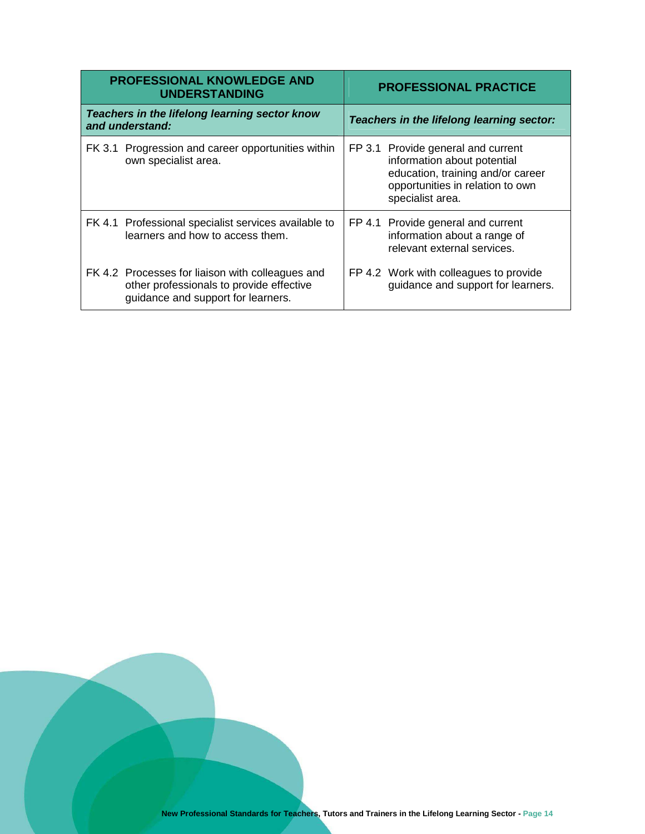|                                                                  | <b>PROFESSIONAL KNOWLEDGE AND</b><br><b>UNDERSTANDING</b>                                                                          |                                           | <b>PROFESSIONAL PRACTICE</b>                                                                                                                                   |  |
|------------------------------------------------------------------|------------------------------------------------------------------------------------------------------------------------------------|-------------------------------------------|----------------------------------------------------------------------------------------------------------------------------------------------------------------|--|
| Teachers in the lifelong learning sector know<br>and understand: |                                                                                                                                    | Teachers in the lifelong learning sector: |                                                                                                                                                                |  |
|                                                                  | FK 3.1 Progression and career opportunities within<br>own specialist area.                                                         |                                           | FP 3.1 Provide general and current<br>information about potential<br>education, training and/or career<br>opportunities in relation to own<br>specialist area. |  |
|                                                                  | FK 4.1 Professional specialist services available to<br>learners and how to access them.                                           |                                           | FP 4.1 Provide general and current<br>information about a range of<br>relevant external services.                                                              |  |
|                                                                  | FK 4.2 Processes for liaison with colleagues and<br>other professionals to provide effective<br>guidance and support for learners. |                                           | FP 4.2 Work with colleagues to provide<br>guidance and support for learners.                                                                                   |  |